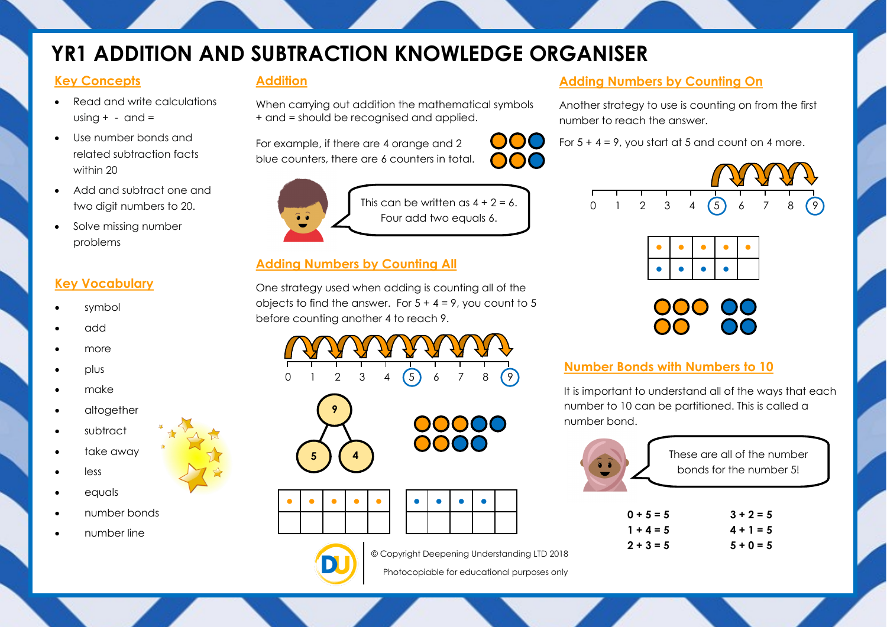# **YR1 ADDITION AND SUBTRACTION KNOWLEDGE ORGANISER**

#### **Key Concepts**

- Read and write calculations using  $+ -$  and  $=$
- Use number bonds and related subtraction facts within 20
- Add and subtract one and two digit numbers to 20.
- Solve missing number problems

# **Key Vocabulary**

- symbol
- add
- more
- plus
- make
- altogether
- subtract
- take away
- less
- equals
- number bonds
- number line

### **Addition**

When carrying out addition the mathematical symbols + and = should be recognised and applied.

For example, if there are 4 orange and 2 blue counters, there are 6 counters in total.



This can be written as  $4 + 2 = 6$ . Four add two equals 6.

 $\bigcup$ 

# **Adding Numbers by Counting All**

One strategy used when adding is counting all of the objects to find the answer. For  $5 + 4 = 9$ , you count to 5 before counting another 4 to reach 9.









**9**

 $\overline{5}$  **4** 

© Copyright Deepening Understanding LTD 2018

Photocopiable for educational purposes only

## **Adding Numbers by Counting On**

Another strategy to use is counting on from the first number to reach the answer.

For  $5 + 4 = 9$ , you start at 5 and count on 4 more.



# **Number Bonds with Numbers to 10**

It is important to understand all of the ways that each number to 10 can be partitioned. This is called a number bond.



These are all of the number bonds for the number 5!

| $0 + 5 = 5$ | $3 + 2 = 5$ |
|-------------|-------------|
| $1 + 4 = 5$ | $4 + 1 = 5$ |
| $2 + 3 = 5$ | $5 + 0 = 5$ |